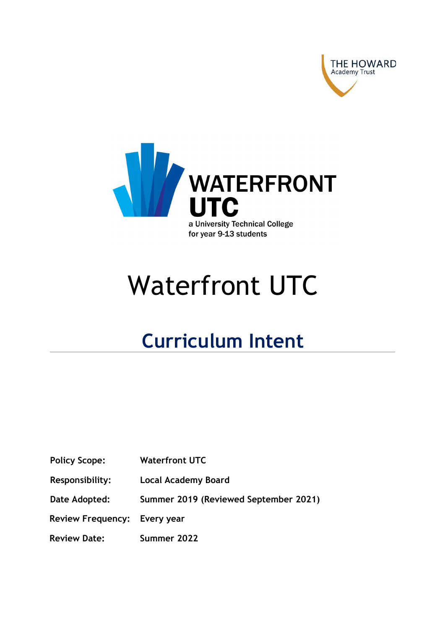



## Waterfront UTC

## Curriculum Intent

| <b>Waterfront UTC</b> |
|-----------------------|
|                       |

Responsibility: Local Academy Board

Date Adopted: Summer 2019 (Reviewed September 2021)

Review Frequency: Every year

Review Date: Summer 2022